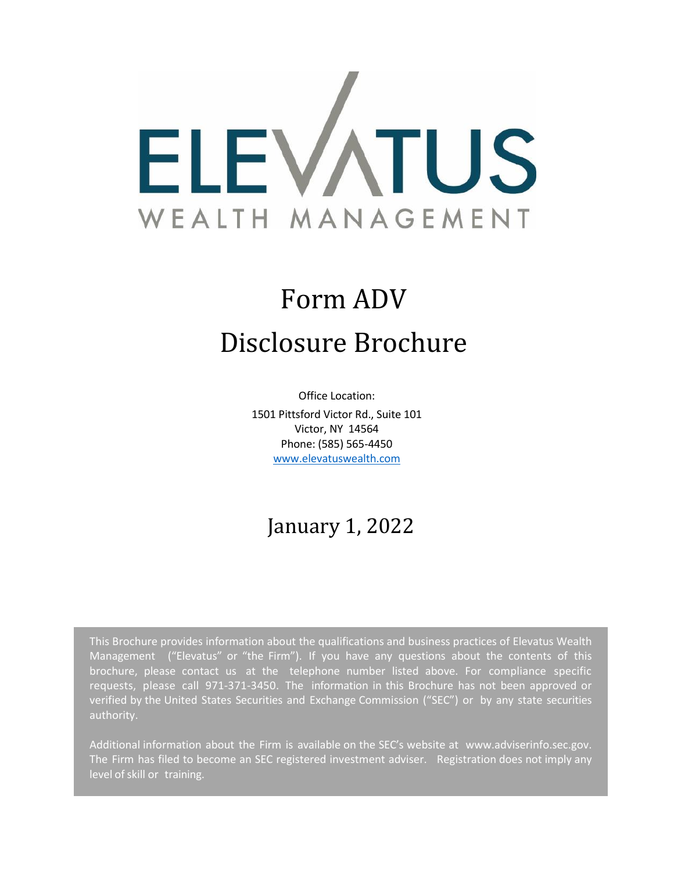

# Form ADV Disclosure Brochure

Office Location: 1501 Pittsford Victor Rd., Suite 101 Victor, NY 14564 Phone: (585) 565-4450 [www.elevatuswealth.com](http://www.catalystprivatewealth.com/)

## January 1, 2022

This Brochure provides information about the qualifications and business practices of Elevatus Wealth Management ("Elevatus" or "the Firm"). If you have any questions about the contents of this brochure, please contact us at the telephone number listed above. For compliance specific requests, please call 971-371-3450. The information in this Brochure has not been approved or verified by the United States Securities and Exchange Commission ("SEC") or by any state securities authority.

Additional information about the Firm is available on the SEC's website at [www.adviserinfo.sec.gov.](http://www.adviserinfo.sec.gov/) The Firm has filed to become an SEC registered investment adviser. Registration does not imply any level of skill or training.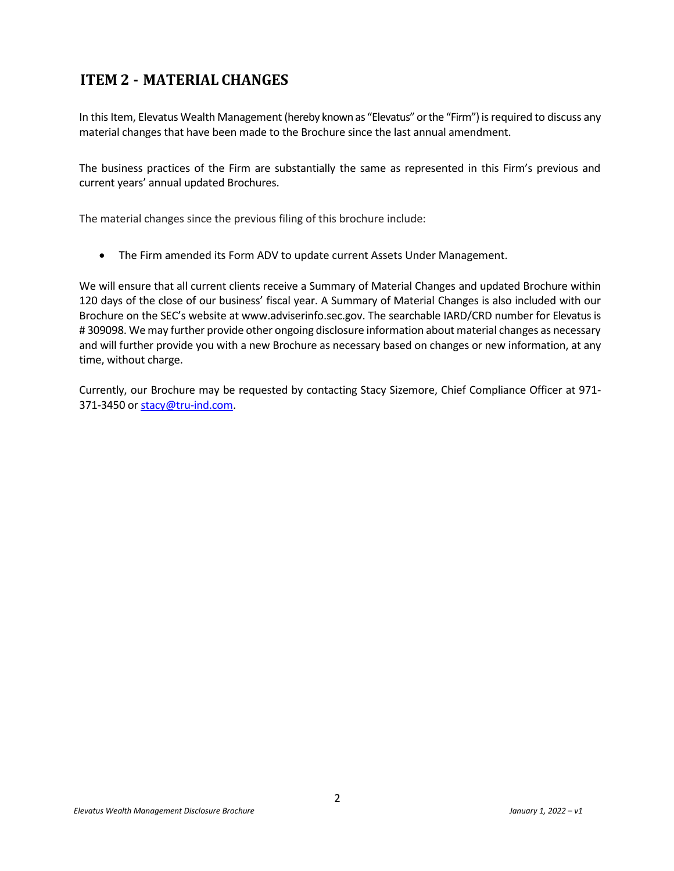## <span id="page-1-0"></span>**ITEM 2 - MATERIAL CHANGES**

In this Item, Elevatus Wealth Management (hereby known as "Elevatus" or the "Firm") is required to discuss any material changes that have been made to the Brochure since the last annual amendment.

The business practices of the Firm are substantially the same as represented in this Firm's previous and current years' annual updated Brochures.

The material changes since the previous filing of this brochure include:

• The Firm amended its Form ADV to update current Assets Under Management.

We will ensure that all current clients receive a Summary of Material Changes and updated Brochure within 120 days of the close of our business' fiscal year. A Summary of Material Changes is also included with our Brochure on the SEC's website at www.adviserinfo.sec.gov. The searchable IARD/CRD number for Elevatus is # 309098. We may further provide other ongoing disclosure information about material changes as necessary and will further provide you with a new Brochure as necessary based on changes or new information, at any time, without charge.

Currently, our Brochure may be requested by contacting Stacy Sizemore, Chief Compliance Officer at 971 371-3450 or [stacy@tru-ind.com.](mailto:stacy@tru-ind.com)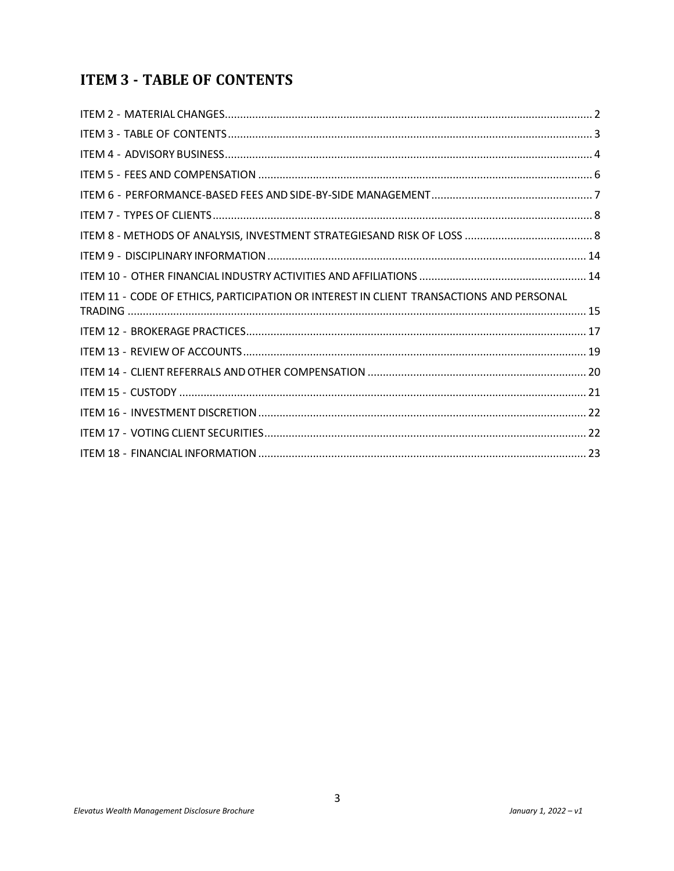## <span id="page-2-0"></span>**ITEM 3 - TABLE OF CONTENTS**

| ITEM 11 - CODE OF ETHICS, PARTICIPATION OR INTEREST IN CLIENT TRANSACTIONS AND PERSONAL |  |
|-----------------------------------------------------------------------------------------|--|
|                                                                                         |  |
|                                                                                         |  |
|                                                                                         |  |
|                                                                                         |  |
|                                                                                         |  |
|                                                                                         |  |
|                                                                                         |  |
|                                                                                         |  |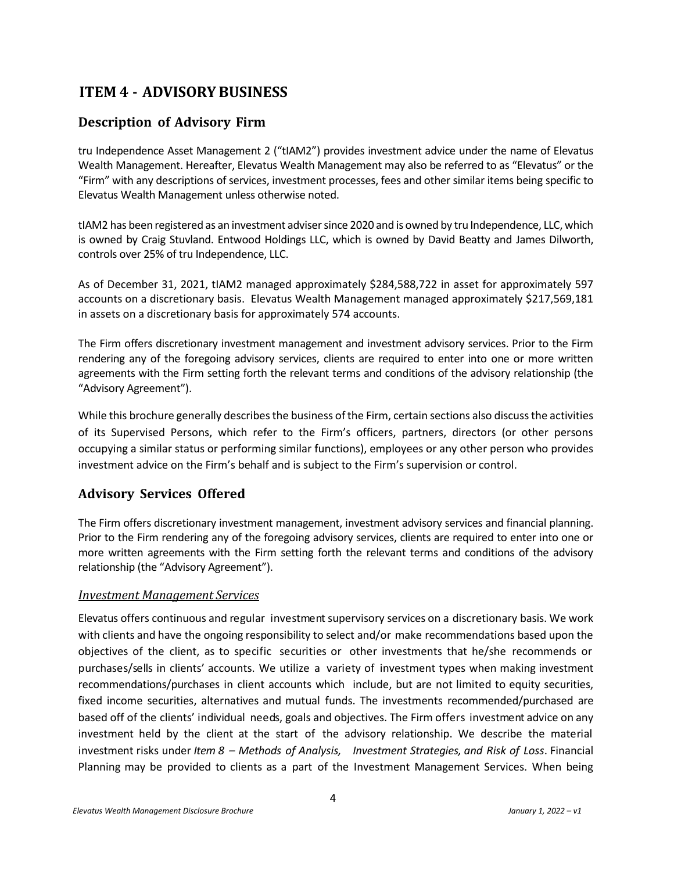## <span id="page-3-0"></span>**ITEM 4 - ADVISORY BUSINESS**

#### **Description of Advisory Firm**

tru Independence Asset Management 2 ("tIAM2") provides investment advice under the name of Elevatus Wealth Management. Hereafter, Elevatus Wealth Management may also be referred to as "Elevatus" or the "Firm" with any descriptions of services, investment processes, fees and other similar items being specific to Elevatus Wealth Management unless otherwise noted.

tIAM2 has been registered as an investment adviser since 2020 and is owned by tru Independence, LLC, which is owned by Craig Stuvland. Entwood Holdings LLC, which is owned by David Beatty and James Dilworth, controls over 25% of tru Independence, LLC.

As of December 31, 2021, tIAM2 managed approximately \$284,588,722 in asset for approximately 597 accounts on a discretionary basis. Elevatus Wealth Management managed approximately \$217,569,181 in assets on a discretionary basis for approximately 574 accounts.

The Firm offers discretionary investment management and investment advisory services. Prior to the Firm rendering any of the foregoing advisory services, clients are required to enter into one or more written agreements with the Firm setting forth the relevant terms and conditions of the advisory relationship (the "Advisory Agreement").

While this brochure generally describes the business of the Firm, certain sections also discuss the activities of its Supervised Persons, which refer to the Firm's officers, partners, directors (or other persons occupying a similar status or performing similar functions), employees or any other person who provides investment advice on the Firm's behalf and is subject to the Firm's supervision or control.

#### **Advisory Services Offered**

The Firm offers discretionary investment management, investment advisory services and financial planning. Prior to the Firm rendering any of the foregoing advisory services, clients are required to enter into one or more written agreements with the Firm setting forth the relevant terms and conditions of the advisory relationship (the "Advisory Agreement").

#### *Investment Management Services*

Elevatus offers continuous and regular investment supervisory services on a discretionary basis. We work with clients and have the ongoing responsibility to select and/or make recommendations based upon the objectives of the client, as to specific securities or other investments that he/she recommends or purchases/sells in clients' accounts. We utilize a variety of investment types when making investment recommendations/purchases in client accounts which include, but are not limited to equity securities, fixed income securities, alternatives and mutual funds. The investments recommended/purchased are based off of the clients' individual needs, goals and objectives. The Firm offers investment advice on any investment held by the client at the start of the advisory relationship. We describe the material investment risks under *Item 8 – Methods of Analysis, Investment Strategies, and Risk of Loss*. Financial Planning may be provided to clients as a part of the Investment Management Services. When being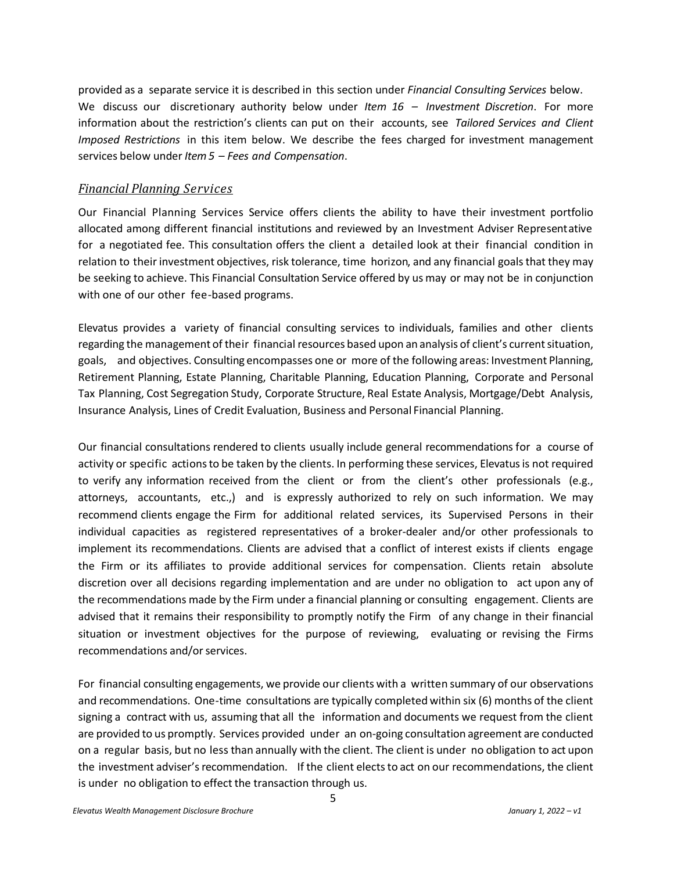provided as a separate service it is described in this section under *Financial Consulting Services* below. We discuss our discretionary authority below under *Item 16 – Investment Discretion*. For more information about the restriction's clients can put on their accounts, see *Tailored Services and Client Imposed Restrictions* in this item below. We describe the fees charged for investment management services below under *Item5 – Fees and Compensation*.

#### *Financial Planning Services*

Our Financial Planning Services Service offers clients the ability to have their investment portfolio allocated among different financial institutions and reviewed by an Investment Adviser Representative for a negotiated fee. This consultation offers the client a detailed look at their financial condition in relation to their investment objectives, risk tolerance, time horizon, and any financial goals that they may be seeking to achieve. This Financial Consultation Service offered by us may or may not be in conjunction with one of our other fee-based programs.

Elevatus provides a variety of financial consulting services to individuals, families and other clients regarding the management of their financial resources based upon an analysis of client's current situation, goals, and objectives. Consulting encompasses one or more of the following areas: Investment Planning, Retirement Planning, Estate Planning, Charitable Planning, Education Planning, Corporate and Personal Tax Planning, Cost Segregation Study, Corporate Structure, Real Estate Analysis, Mortgage/Debt Analysis, Insurance Analysis, Lines of Credit Evaluation, Business and Personal Financial Planning.

Our financial consultations rendered to clients usually include general recommendations for a course of activity or specific actionsto be taken by the clients. In performing these services, Elevatusis not required to verify any information received from the client or from the client's other professionals (e.g., attorneys, accountants, etc.,) and is expressly authorized to rely on such information. We may recommend clients engage the Firm for additional related services, its Supervised Persons in their individual capacities as registered representatives of a broker-dealer and/or other professionals to implement its recommendations. Clients are advised that a conflict of interest exists if clients engage the Firm or its affiliates to provide additional services for compensation. Clients retain absolute discretion over all decisions regarding implementation and are under no obligation to act upon any of the recommendations made by the Firm under a financial planning or consulting engagement. Clients are advised that it remains their responsibility to promptly notify the Firm of any change in their financial situation or investment objectives for the purpose of reviewing, evaluating or revising the Firms recommendations and/or services.

For financial consulting engagements, we provide our clients with a written summary of our observations and recommendations. One-time consultations are typically completed within six (6) months of the client signing a contract with us, assuming that all the information and documents we request from the client are provided to us promptly. Services provided under an on-going consultation agreement are conducted on a regular basis, but no less than annually with the client. The client is under no obligation to act upon the investment adviser's recommendation. If the client elects to act on our recommendations, the client is under no obligation to effect the transaction through us.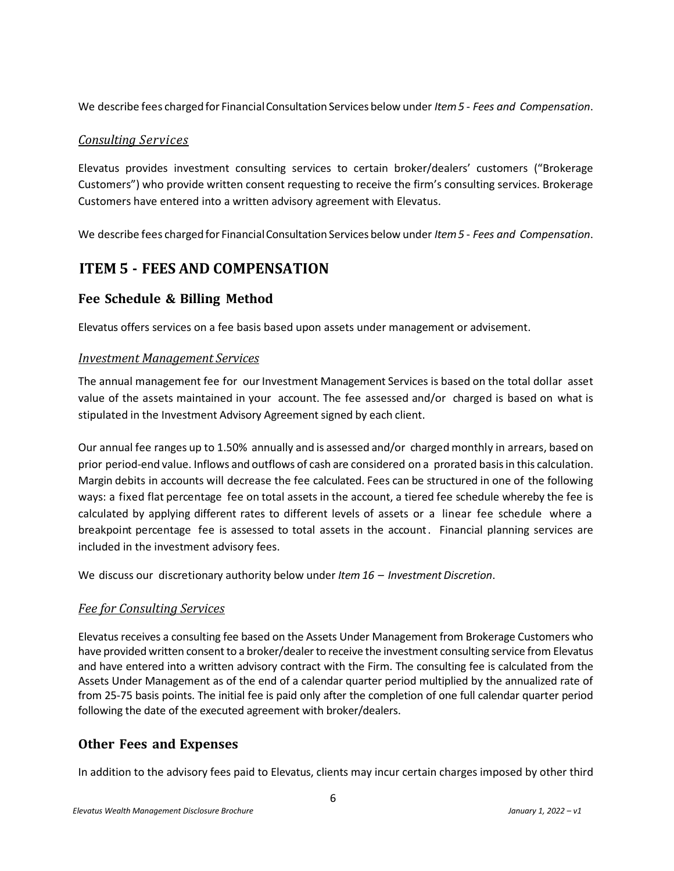We describe fees charged for FinancialConsultation Services below under *Item5 - Fees and Compensation*.

#### *Consulting Services*

Elevatus provides investment consulting services to certain broker/dealers' customers ("Brokerage Customers") who provide written consent requesting to receive the firm's consulting services. Brokerage Customers have entered into a written advisory agreement with Elevatus.

We describe fees charged for FinancialConsultation Services below under *Item5 - Fees and Compensation*.

## <span id="page-5-0"></span>**ITEM 5 - FEES AND COMPENSATION**

## **Fee Schedule & Billing Method**

Elevatus offers services on a fee basis based upon assets under management or advisement.

#### *Investment Management Services*

The annual management fee for our Investment Management Services is based on the total dollar asset value of the assets maintained in your account. The fee assessed and/or charged is based on what is stipulated in the Investment Advisory Agreement signed by each client.

Our annual fee ranges up to 1.50% annually and is assessed and/or charged monthly in arrears, based on prior period-end value. Inflows and outflows of cash are considered on a prorated basisin this calculation. Margin debits in accounts will decrease the fee calculated. Fees can be structured in one of the following ways: a fixed flat percentage fee on total assets in the account, a tiered fee schedule whereby the fee is calculated by applying different rates to different levels of assets or a linear fee schedule where a breakpoint percentage fee is assessed to total assets in the account. Financial planning services are included in the investment advisory fees.

We discuss our discretionary authority below under *Item 16 – Investment Discretion*.

#### *Fee for Consulting Services*

Elevatus receives a consulting fee based on the Assets Under Management from Brokerage Customers who have provided written consent to a broker/dealer to receive the investment consulting service from Elevatus and have entered into a written advisory contract with the Firm. The consulting fee is calculated from the Assets Under Management as of the end of a calendar quarter period multiplied by the annualized rate of from 25-75 basis points. The initial fee is paid only after the completion of one full calendar quarter period following the date of the executed agreement with broker/dealers.

## **Other Fees and Expenses**

In addition to the advisory fees paid to Elevatus, clients may incur certain charges imposed by other third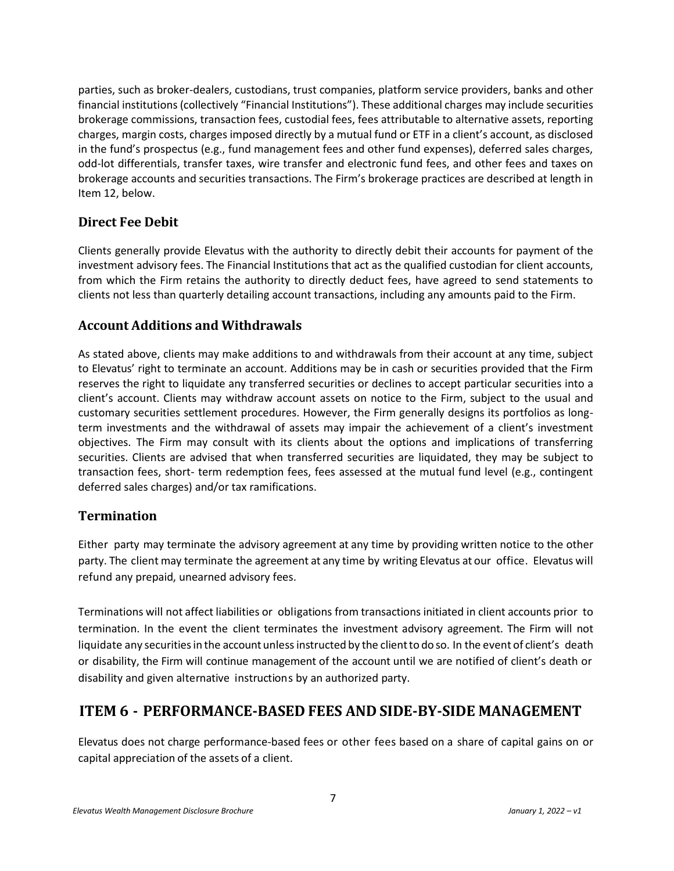parties, such as broker-dealers, custodians, trust companies, platform service providers, banks and other financial institutions (collectively "Financial Institutions"). These additional charges may include securities brokerage commissions, transaction fees, custodial fees, fees attributable to alternative assets, reporting charges, margin costs, charges imposed directly by a mutual fund or ETF in a client's account, as disclosed in the fund's prospectus (e.g., fund management fees and other fund expenses), deferred sales charges, odd-lot differentials, transfer taxes, wire transfer and electronic fund fees, and other fees and taxes on brokerage accounts and securities transactions. The Firm's brokerage practices are described at length in Item 12, below.

#### **Direct Fee Debit**

Clients generally provide Elevatus with the authority to directly debit their accounts for payment of the investment advisory fees. The Financial Institutions that act as the qualified custodian for client accounts, from which the Firm retains the authority to directly deduct fees, have agreed to send statements to clients not less than quarterly detailing account transactions, including any amounts paid to the Firm.

#### **Account Additions and Withdrawals**

As stated above, clients may make additions to and withdrawals from their account at any time, subject to Elevatus' right to terminate an account. Additions may be in cash or securities provided that the Firm reserves the right to liquidate any transferred securities or declines to accept particular securities into a client's account. Clients may withdraw account assets on notice to the Firm, subject to the usual and customary securities settlement procedures. However, the Firm generally designs its portfolios as longterm investments and the withdrawal of assets may impair the achievement of a client's investment objectives. The Firm may consult with its clients about the options and implications of transferring securities. Clients are advised that when transferred securities are liquidated, they may be subject to transaction fees, short- term redemption fees, fees assessed at the mutual fund level (e.g., contingent deferred sales charges) and/or tax ramifications.

#### **Termination**

Either party may terminate the advisory agreement at any time by providing written notice to the other party. The client may terminate the agreement at any time by writing Elevatus at our office. Elevatus will refund any prepaid, unearned advisory fees.

Terminations will not affect liabilities or obligations from transactions initiated in client accounts prior to termination. In the event the client terminates the investment advisory agreement. The Firm will not liquidate any securitiesin the account unlessinstructed by the clientto do so. In the event of client's death or disability, the Firm will continue management of the account until we are notified of client's death or disability and given alternative instructions by an authorized party.

## <span id="page-6-0"></span>**ITEM 6 - PERFORMANCE-BASED FEES AND SIDE-BY-SIDE MANAGEMENT**

Elevatus does not charge performance-based fees or other fees based on a share of capital gains on or capital appreciation of the assets of a client.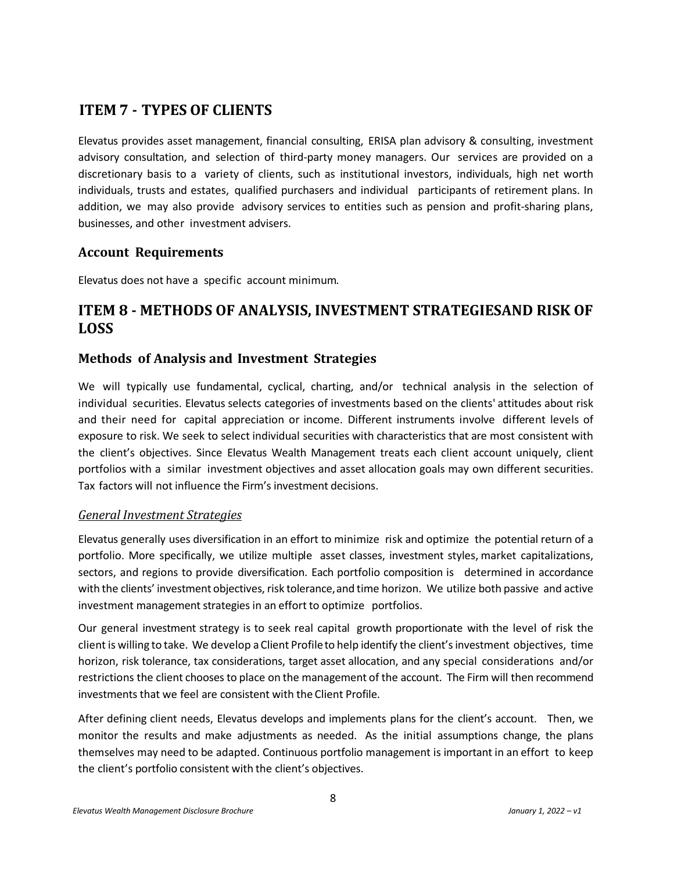## <span id="page-7-0"></span>**ITEM 7 - TYPES OF CLIENTS**

Elevatus provides asset management, financial consulting, ERISA plan advisory & consulting, investment advisory consultation, and selection of third-party money managers. Our services are provided on a discretionary basis to a variety of clients, such as institutional investors, individuals, high net worth individuals, trusts and estates, qualified purchasers and individual participants of retirement plans. In addition, we may also provide advisory services to entities such as pension and profit-sharing plans, businesses, and other investment advisers.

#### **Account Requirements**

Elevatus does not have a specific account minimum.

## <span id="page-7-1"></span>**ITEM 8 - METHODS OF ANALYSIS, INVESTMENT STRATEGIESAND RISK OF LOSS**

#### **Methods of Analysis and Investment Strategies**

We will typically use fundamental, cyclical, charting, and/or technical analysis in the selection of individual securities. Elevatus selects categories of investments based on the clients' attitudes about risk and their need for capital appreciation or income. Different instruments involve different levels of exposure to risk. We seek to select individual securities with characteristics that are most consistent with the client's objectives. Since Elevatus Wealth Management treats each client account uniquely, client portfolios with a similar investment objectives and asset allocation goals may own different securities. Tax factors will not influence the Firm's investment decisions.

#### *General Investment Strategies*

Elevatus generally uses diversification in an effort to minimize risk and optimize the potential return of a portfolio. More specifically, we utilize multiple asset classes, investment styles, market capitalizations, sectors, and regions to provide diversification. Each portfolio composition is determined in accordance with the clients' investment objectives, risk tolerance,and time horizon. We utilize both passive and active investment management strategies in an effort to optimize portfolios.

Our general investment strategy is to seek real capital growth proportionate with the level of risk the client is willing to take. We develop a Client Profileto help identify the client'sinvestment objectives, time horizon, risk tolerance, tax considerations, target asset allocation, and any special considerations and/or restrictions the client chooses to place on the management of the account. The Firm will then recommend investments that we feel are consistent with the Client Profile.

After defining client needs, Elevatus develops and implements plans for the client's account. Then, we monitor the results and make adjustments as needed. As the initial assumptions change, the plans themselves may need to be adapted. Continuous portfolio management is important in an effort to keep the client's portfolio consistent with the client's objectives.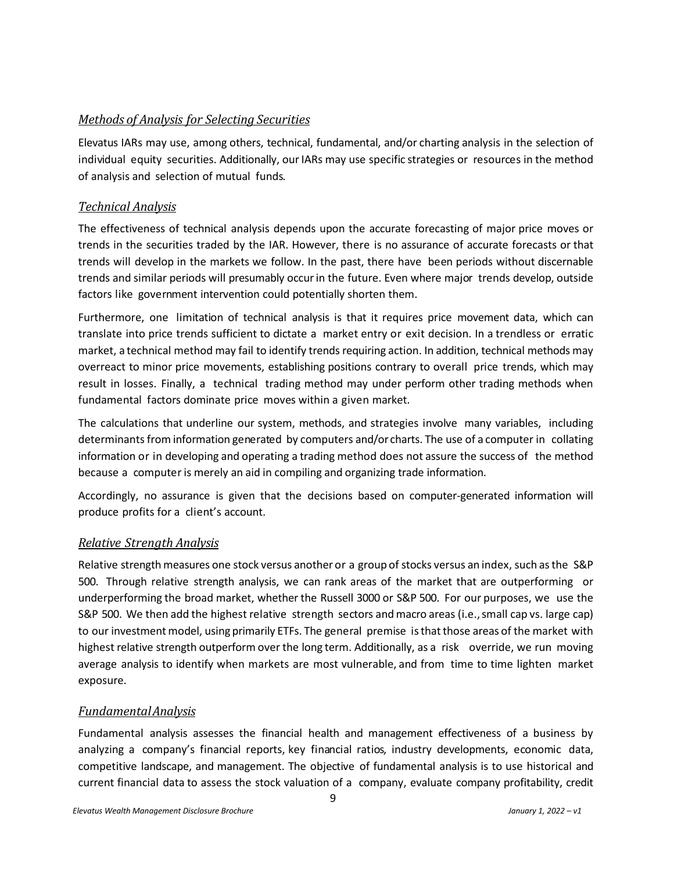#### *Methods of Analysis for Selecting Securities*

Elevatus IARs may use, among others, technical, fundamental, and/or charting analysis in the selection of individual equity securities. Additionally, ourIARs may use specific strategies or resources in the method of analysis and selection of mutual funds.

#### *Technical Analysis*

The effectiveness of technical analysis depends upon the accurate forecasting of major price moves or trends in the securities traded by the IAR. However, there is no assurance of accurate forecasts or that trends will develop in the markets we follow. In the past, there have been periods without discernable trends and similar periods will presumably occur in the future. Even where major trends develop, outside factors like government intervention could potentially shorten them.

Furthermore, one limitation of technical analysis is that it requires price movement data, which can translate into price trends sufficient to dictate a market entry or exit decision. In a trendless or erratic market, a technical method may fail to identify trends requiring action. In addition, technical methods may overreact to minor price movements, establishing positions contrary to overall price trends, which may result in losses. Finally, a technical trading method may under perform other trading methods when fundamental factors dominate price moves within a given market.

The calculations that underline our system, methods, and strategies involve many variables, including determinants from information generated by computers and/or charts. The use of a computer in collating information or in developing and operating a trading method does not assure the success of the method because a computer is merely an aid in compiling and organizing trade information.

Accordingly, no assurance is given that the decisions based on computer-generated information will produce profits for a client's account.

#### *Relative Strength Analysis*

Relative strength measures one stock versus another or a group of stocks versus an index, such as the S&P 500. Through relative strength analysis, we can rank areas of the market that are outperforming or underperforming the broad market, whether the Russell 3000 or S&P 500. For our purposes, we use the S&P 500. We then add the highest relative strength sectors and macro areas (i.e., small cap vs. large cap) to our investment model, using primarily ETFs. The general premise is that those areas of the market with highest relative strength outperform over the long term. Additionally, as a risk override, we run moving average analysis to identify when markets are most vulnerable, and from time to time lighten market exposure.

#### *FundamentalAnalysis*

Fundamental analysis assesses the financial health and management effectiveness of a business by analyzing a company's financial reports, key financial ratios, industry developments, economic data, competitive landscape, and management. The objective of fundamental analysis is to use historical and current financial data to assess the stock valuation of a company, evaluate company profitability, credit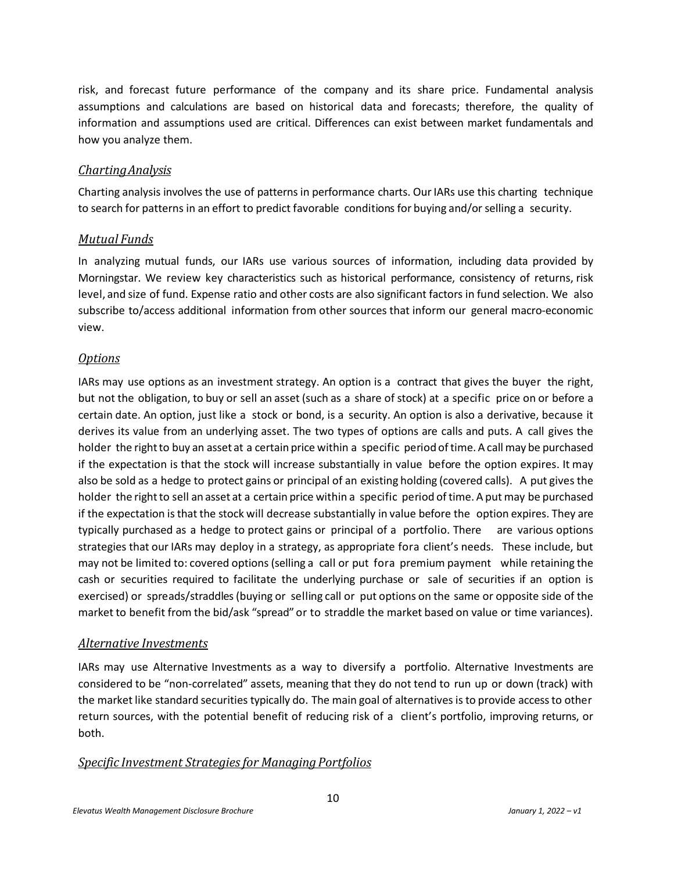risk, and forecast future performance of the company and its share price. Fundamental analysis assumptions and calculations are based on historical data and forecasts; therefore, the quality of information and assumptions used are critical. Differences can exist between market fundamentals and how you analyze them.

#### *ChartingAnalysis*

Charting analysis involves the use of patterns in performance charts. OurIARs use this charting technique to search for patterns in an effort to predict favorable conditions for buying and/orselling a security.

#### *Mutual Funds*

In analyzing mutual funds, our IARs use various sources of information, including data provided by Morningstar. We review key characteristics such as historical performance, consistency of returns, risk level, and size of fund. Expense ratio and other costs are also significant factors in fund selection. We also subscribe to/access additional information from other sources that inform our general macro-economic view.

#### *Options*

IARs may use options as an investment strategy. An option is a contract that gives the buyer the right, but not the obligation, to buy or sell an asset (such as a share of stock) at a specific price on or before a certain date. An option, just like a stock or bond, is a security. An option is also a derivative, because it derives its value from an underlying asset. The two types of options are calls and puts. A call gives the holder the right to buy an asset at a certain price within a specific period of time. A call may be purchased if the expectation is that the stock will increase substantially in value before the option expires. It may also be sold as a hedge to protect gains or principal of an existing holding (covered calls). A put gives the holder the right to sell an asset at a certain price within a specific period of time. A put may be purchased if the expectation isthat the stock will decrease substantially in value before the option expires. They are typically purchased as a hedge to protect gains or principal of a portfolio. There are various options strategies that our IARs may deploy in a strategy, as appropriate fora client's needs. These include, but may not be limited to: covered options (selling a call or put fora premium payment while retaining the cash or securities required to facilitate the underlying purchase or sale of securities if an option is exercised) or spreads/straddles(buying or selling call or put options on the same or opposite side of the market to benefit from the bid/ask "spread" or to straddle the market based on value or time variances).

#### *Alternative Investments*

IARs may use Alternative Investments as a way to diversify a portfolio. Alternative Investments are considered to be "non-correlated" assets, meaning that they do not tend to run up or down (track) with the market like standard securities typically do. The main goal of alternatives is to provide access to other return sources, with the potential benefit of reducing risk of a client's portfolio, improving returns, or both.

#### *Specific Investment Strategiesfor Managing Portfolios*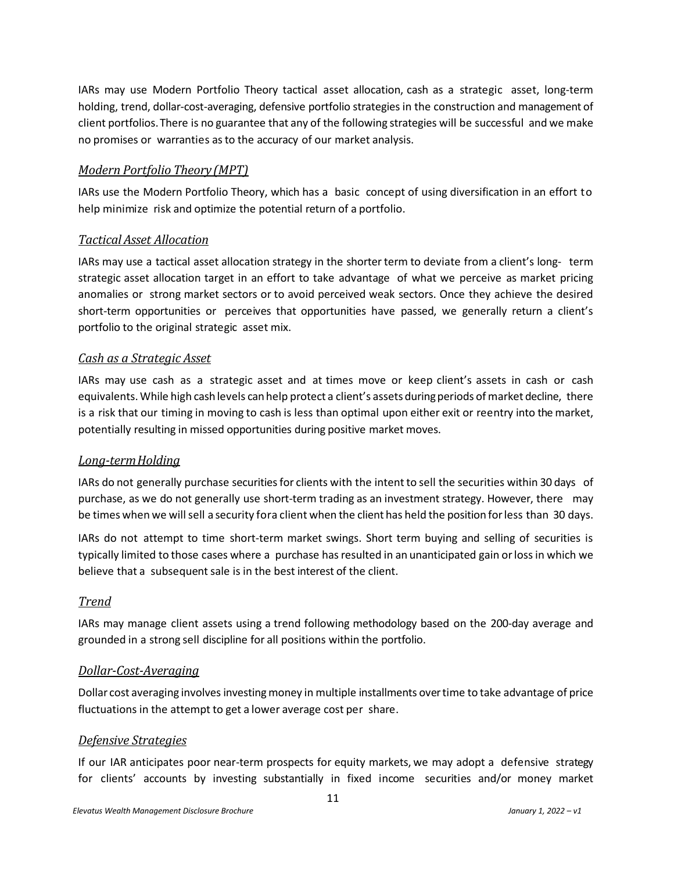IARs may use Modern Portfolio Theory tactical asset allocation, cash as a strategic asset, long-term holding, trend, dollar-cost-averaging, defensive portfolio strategies in the construction and management of client portfolios.There is no guarantee that any of the following strategies will be successful and we make no promises or warranties asto the accuracy of our market analysis.

#### *Modern Portfolio Theory (MPT)*

IARs use the Modern Portfolio Theory, which has a basic concept of using diversification in an effort to help minimize risk and optimize the potential return of a portfolio.

#### *Tactical Asset Allocation*

IARs may use a tactical asset allocation strategy in the shorterterm to deviate from a client's long- term strategic asset allocation target in an effort to take advantage of what we perceive as market pricing anomalies or strong market sectors or to avoid perceived weak sectors. Once they achieve the desired short-term opportunities or perceives that opportunities have passed, we generally return a client's portfolio to the original strategic asset mix.

#### *Cash as a Strategic Asset*

IARs may use cash as a strategic asset and at times move or keep client's assets in cash or cash equivalents. While high cash levels can help protect a client's assets during periods of market decline, there is a risk that our timing in moving to cash is less than optimal upon either exit or reentry into the market, potentially resulting in missed opportunities during positive market moves.

#### *Long-termHolding*

IARs do not generally purchase securitiesfor clients with the intent to sell the securities within 30 days of purchase, as we do not generally use short-term trading as an investment strategy. However, there may be times when we will sell a security fora client when the client has held the position for less than 30 days.

IARs do not attempt to time short-term market swings. Short term buying and selling of securities is typically limited to those cases where a purchase has resulted in an unanticipated gain or loss in which we believe that a subsequent sale is in the best interest of the client.

#### *Trend*

IARs may manage client assets using a trend following methodology based on the 200-day average and grounded in a strong sell discipline for all positions within the portfolio.

#### *Dollar-Cost-Averaging*

Dollar cost averaging involves investing money in multiple installments over time to take advantage of price fluctuations in the attempt to get a lower average cost per share.

#### *Defensive Strategies*

If our IAR anticipates poor near-term prospects for equity markets, we may adopt a defensive strategy for clients' accounts by investing substantially in fixed income securities and/or money market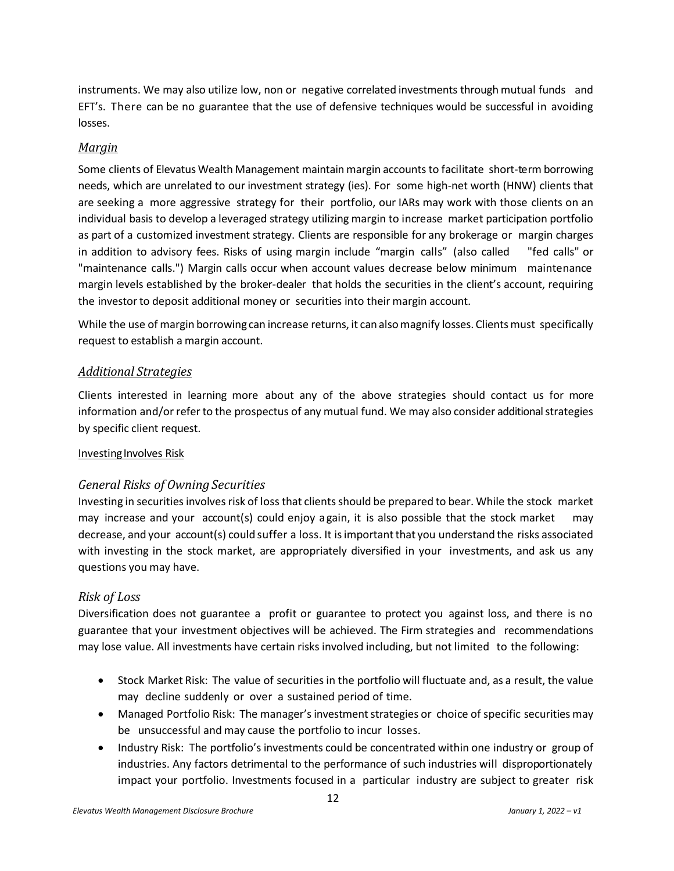instruments. We may also utilize low, non or negative correlated investments through mutual funds and EFT's. There can be no guarantee that the use of defensive techniques would be successful in avoiding losses.

#### *Margin*

Some clients of Elevatus Wealth Management maintain margin accounts to facilitate short-term borrowing needs, which are unrelated to our investment strategy (ies). For some high-net worth (HNW) clients that are seeking a more aggressive strategy for their portfolio, our IARs may work with those clients on an individual basis to develop a leveraged strategy utilizing margin to increase market participation portfolio as part of a customized investment strategy. Clients are responsible for any brokerage or margin charges in addition to advisory fees. Risks of using margin include "margin calls" (also called "fed calls" or "maintenance calls.") Margin calls occur when account values decrease below minimum maintenance margin levels established by the broker-dealer that holds the securities in the client's account, requiring the investor to deposit additional money or securities into their margin account.

While the use of margin borrowing can increase returns, it can also magnify losses. Clients must specifically request to establish a margin account.

#### *Additional Strategies*

Clients interested in learning more about any of the above strategies should contact us for more information and/or refer to the prospectus of any mutual fund. We may also consider additional strategies by specific client request.

#### Investing Involves Risk

#### *General Risks of Owning Securities*

Investing in securities involves risk of loss that clients should be prepared to bear. While the stock market may increase and your account(s) could enjoy again, it is also possible that the stock market may decrease, and your account(s) could suffer a loss. It isimportantthat you understand the risks associated with investing in the stock market, are appropriately diversified in your investments, and ask us any questions you may have.

#### *Risk of Loss*

Diversification does not guarantee a profit or guarantee to protect you against loss, and there is no guarantee that your investment objectives will be achieved. The Firm strategies and recommendations may lose value. All investments have certain risks involved including, but not limited to the following:

- Stock Market Risk: The value of securities in the portfolio will fluctuate and, as a result, the value may decline suddenly or over a sustained period of time.
- Managed Portfolio Risk: The manager's investment strategies or choice of specific securities may be unsuccessful and may cause the portfolio to incur losses.
- Industry Risk: The portfolio's investments could be concentrated within one industry or group of industries. Any factors detrimental to the performance of such industries will disproportionately impact your portfolio. Investments focused in a particular industry are subject to greater risk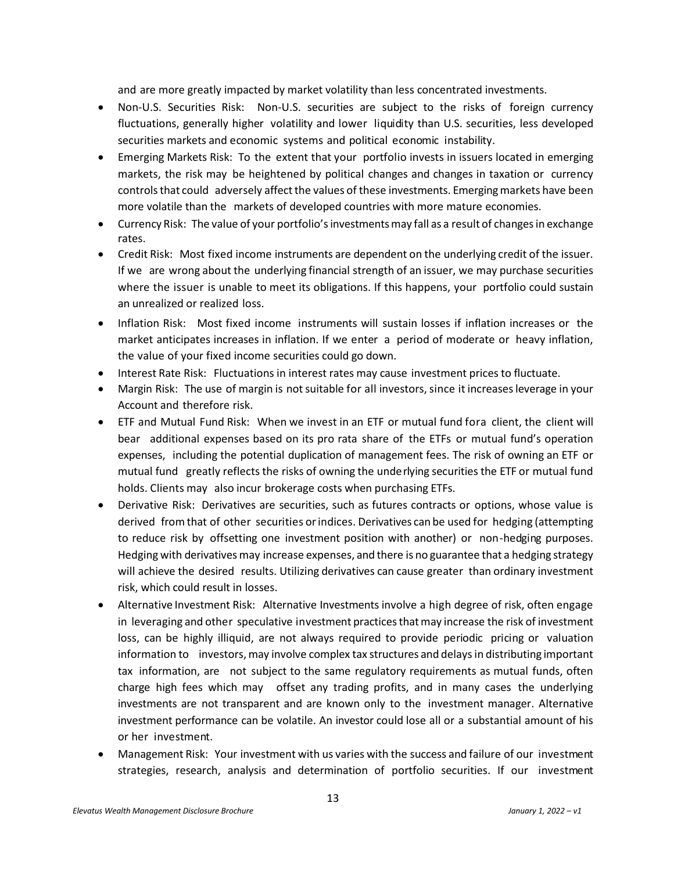and are more greatly impacted by market volatility than less concentrated investments.

- Non-U.S. Securities Risk: Non-U.S. securities are subject to the risks of foreign currency fluctuations, generally higher volatility and lower liquidity than U.S. securities, less developed securities markets and economic systems and political economic instability.
- Emerging Markets Risk: To the extent that your portfolio invests in issuers located in emerging markets, the risk may be heightened by political changes and changes in taxation or currency controls that could adversely affect the values of these investments. Emerging markets have been more volatile than the markets of developed countries with more mature economies.
- Currency Risk: The value of your portfolio's investments may fall as a result of changes in exchange rates.
- Credit Risk: Most fixed income instruments are dependent on the underlying credit of the issuer. If we are wrong about the underlying financial strength of an issuer, we may purchase securities where the issuer is unable to meet its obligations. If this happens, your portfolio could sustain an unrealized or realized loss.
- Inflation Risk: Most fixed income instruments will sustain losses if inflation increases or the market anticipates increases in inflation. If we enter a period of moderate or heavy inflation, the value of your fixed income securities could go down.
- Interest Rate Risk: Fluctuations in interest rates may cause investment prices to fluctuate.
- Margin Risk: The use of margin is not suitable for all investors, since it increases leverage in your Account and therefore risk.
- ETF and Mutual Fund Risk: When we invest in an ETF or mutual fund fora client, the client will bear additional expenses based on its pro rata share of the ETFs or mutual fund's operation expenses, including the potential duplication of management fees. The risk of owning an ETF or mutual fund greatly reflects the risks of owning the underlying securitiesthe ETF or mutual fund holds. Clients may also incur brokerage costs when purchasing ETFs.
- Derivative Risk: Derivatives are securities, such as futures contracts or options, whose value is derived from that of other securities or indices. Derivatives can be used for hedging (attempting to reduce risk by offsetting one investment position with another) or non-hedging purposes. Hedging with derivatives may increase expenses, and there is no guarantee that a hedging strategy will achieve the desired results. Utilizing derivatives can cause greater than ordinary investment risk, which could result in losses.
- Alternative Investment Risk: Alternative Investments involve a high degree of risk, often engage in leveraging and other speculative investment practices thatmay increase the risk of investment loss, can be highly illiquid, are not always required to provide periodic pricing or valuation information to investors, may involve complex tax structures and delays in distributing important tax information, are not subject to the same regulatory requirements as mutual funds, often charge high fees which may offset any trading profits, and in many cases the underlying investments are not transparent and are known only to the investment manager. Alternative investment performance can be volatile. An investor could lose all or a substantial amount of his or her investment.
- Management Risk: Your investment with us varies with the success and failure of our investment strategies, research, analysis and determination of portfolio securities. If our investment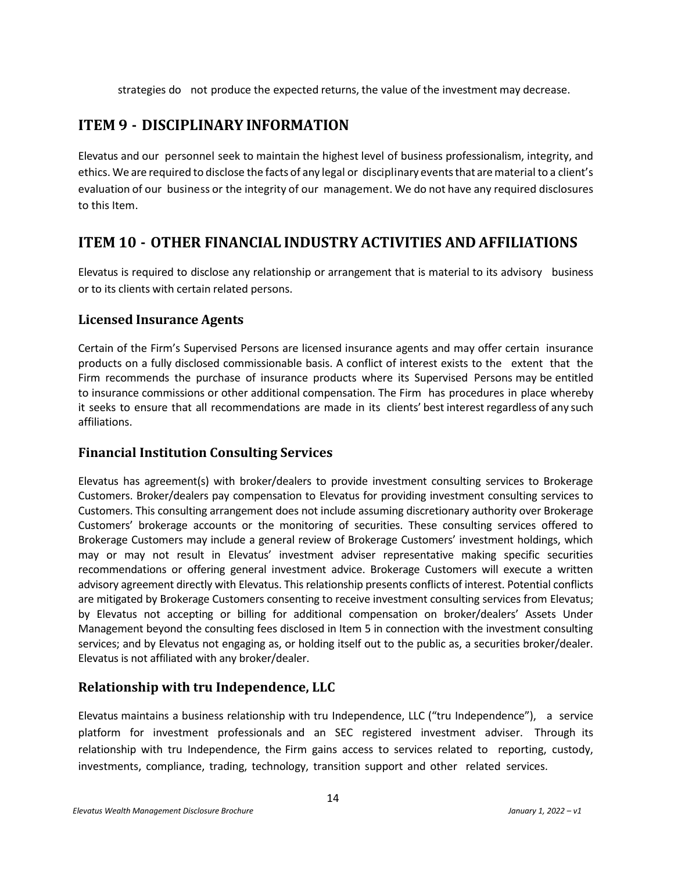strategies do not produce the expected returns, the value of the investment may decrease.

## <span id="page-13-0"></span>**ITEM 9 - DISCIPLINARY INFORMATION**

Elevatus and our personnel seek to maintain the highest level of business professionalism, integrity, and ethics. We are required to disclose the facts of any legal or disciplinary eventsthat arematerial to a client's evaluation of our business or the integrity of our management. We do not have any required disclosures to this Item.

## <span id="page-13-1"></span>**ITEM 10 - OTHER FINANCIAL INDUSTRY ACTIVITIES AND AFFILIATIONS**

Elevatus is required to disclose any relationship or arrangement that is material to its advisory business or to its clients with certain related persons.

#### **Licensed Insurance Agents**

Certain of the Firm's Supervised Persons are licensed insurance agents and may offer certain insurance products on a fully disclosed commissionable basis. A conflict of interest exists to the extent that the Firm recommends the purchase of insurance products where its Supervised Persons may be entitled to insurance commissions or other additional compensation. The Firm has procedures in place whereby it seeks to ensure that all recommendations are made in its clients' best interest regardless of any such affiliations.

#### **Financial Institution Consulting Services**

Elevatus has agreement(s) with broker/dealers to provide investment consulting services to Brokerage Customers. Broker/dealers pay compensation to Elevatus for providing investment consulting services to Customers. This consulting arrangement does not include assuming discretionary authority over Brokerage Customers' brokerage accounts or the monitoring of securities. These consulting services offered to Brokerage Customers may include a general review of Brokerage Customers' investment holdings, which may or may not result in Elevatus' investment adviser representative making specific securities recommendations or offering general investment advice. Brokerage Customers will execute a written advisory agreement directly with Elevatus. This relationship presents conflicts of interest. Potential conflicts are mitigated by Brokerage Customers consenting to receive investment consulting services from Elevatus; by Elevatus not accepting or billing for additional compensation on broker/dealers' Assets Under Management beyond the consulting fees disclosed in Item 5 in connection with the investment consulting services; and by Elevatus not engaging as, or holding itself out to the public as, a securities broker/dealer. Elevatus is not affiliated with any broker/dealer.

## **Relationship with tru Independence, LLC**

Elevatus maintains a business relationship with tru Independence, LLC ("tru Independence"), a service platform for investment professionals and an SEC registered investment adviser. Through its relationship with tru Independence, the Firm gains access to services related to reporting, custody, investments, compliance, trading, technology, transition support and other related services.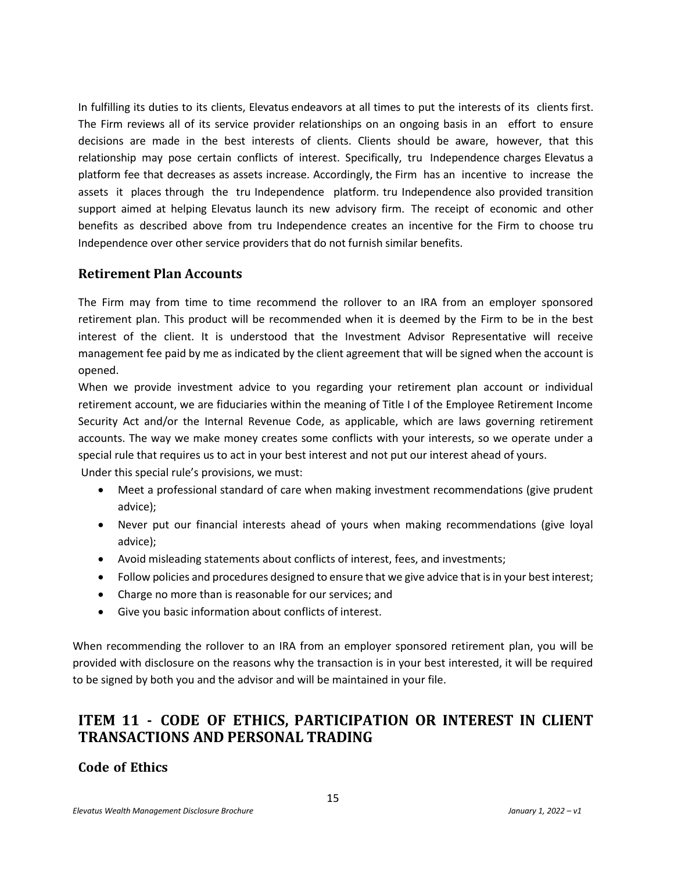In fulfilling its duties to its clients, Elevatus endeavors at all times to put the interests of its clients first. The Firm reviews all of its service provider relationships on an ongoing basis in an effort to ensure decisions are made in the best interests of clients. Clients should be aware, however, that this relationship may pose certain conflicts of interest. Specifically, tru Independence charges Elevatus a platform fee that decreases as assets increase. Accordingly, the Firm has an incentive to increase the assets it places through the tru Independence platform. tru Independence also provided transition support aimed at helping Elevatus launch its new advisory firm. The receipt of economic and other benefits as described above from tru Independence creates an incentive for the Firm to choose tru Independence over other service providersthat do not furnish similar benefits.

#### **Retirement Plan Accounts**

The Firm may from time to time recommend the rollover to an IRA from an employer sponsored retirement plan. This product will be recommended when it is deemed by the Firm to be in the best interest of the client. It is understood that the Investment Advisor Representative will receive management fee paid by me as indicated by the client agreement that will be signed when the account is opened.

When we provide investment advice to you regarding your retirement plan account or individual retirement account, we are fiduciaries within the meaning of Title I of the Employee Retirement Income Security Act and/or the Internal Revenue Code, as applicable, which are laws governing retirement accounts. The way we make money creates some conflicts with your interests, so we operate under a special rule that requires us to act in your best interest and not put our interest ahead of yours. Under this special rule's provisions, we must:

- Meet a professional standard of care when making investment recommendations (give prudent advice);
- Never put our financial interests ahead of yours when making recommendations (give loyal advice);
- Avoid misleading statements about conflicts of interest, fees, and investments;
- Follow policies and procedures designed to ensure that we give advice that is in your best interest;
- Charge no more than is reasonable for our services; and
- Give you basic information about conflicts of interest.

When recommending the rollover to an IRA from an employer sponsored retirement plan, you will be provided with disclosure on the reasons why the transaction is in your best interested, it will be required to be signed by both you and the advisor and will be maintained in your file.

## <span id="page-14-0"></span>**ITEM 11 - CODE OF ETHICS, PARTICIPATION OR INTEREST IN CLIENT TRANSACTIONS AND PERSONAL TRADING**

## **Code of Ethics**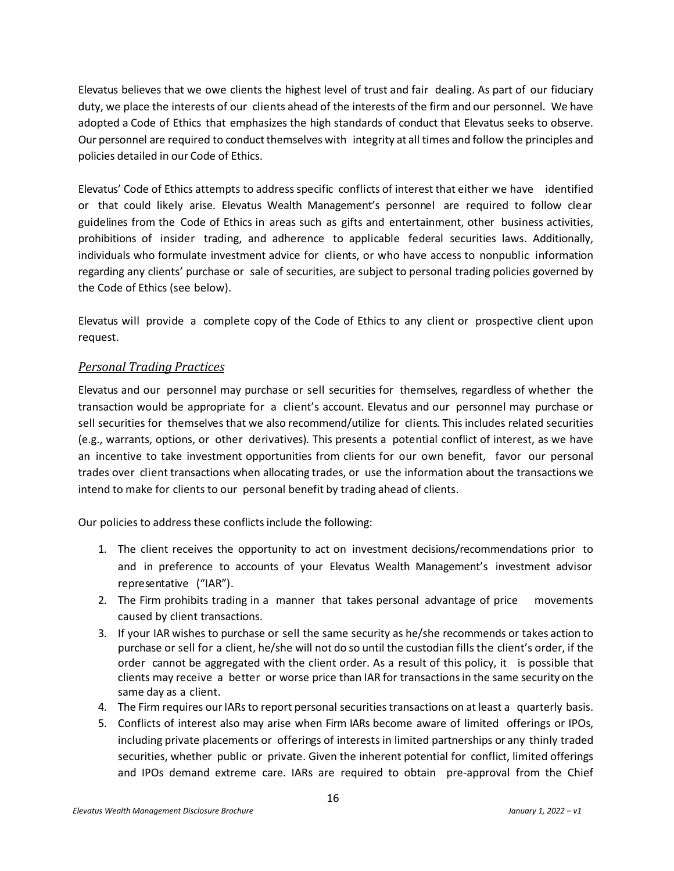Elevatus believes that we owe clients the highest level of trust and fair dealing. As part of our fiduciary duty, we place the interests of our clients ahead of the interests of the firm and our personnel. We have adopted a Code of Ethics that emphasizes the high standards of conduct that Elevatus seeks to observe. Our personnel are required to conduct themselves with integrity at all times and follow the principles and policies detailed in our Code of Ethics.

Elevatus' Code of Ethics attempts to addressspecific conflicts of interest that either we have identified or that could likely arise. Elevatus Wealth Management's personnel are required to follow clear guidelines from the Code of Ethics in areas such as gifts and entertainment, other business activities, prohibitions of insider trading, and adherence to applicable federal securities laws. Additionally, individuals who formulate investment advice for clients, or who have access to nonpublic information regarding any clients' purchase or sale of securities, are subject to personal trading policies governed by the Code of Ethics (see below).

Elevatus will provide a complete copy of the Code of Ethics to any client or prospective client upon request.

#### *Personal Trading Practices*

Elevatus and our personnel may purchase or sell securities for themselves, regardless of whether the transaction would be appropriate for a client's account. Elevatus and our personnel may purchase or sell securities for themselves that we also recommend/utilize for clients. This includes related securities (e.g., warrants, options, or other derivatives). This presents a potential conflict of interest, as we have an incentive to take investment opportunities from clients for our own benefit, favor our personal trades over client transactions when allocating trades, or use the information about the transactions we intend to make for clients to our personal benefit by trading ahead of clients.

Our policies to address these conflicts include the following:

- 1. The client receives the opportunity to act on investment decisions/recommendations prior to and in preference to accounts of your Elevatus Wealth Management's investment advisor representative ("IAR").
- 2. The Firm prohibits trading in a manner that takes personal advantage of price movements caused by client transactions.
- 3. If your IAR wishes to purchase or sell the same security as he/she recommends or takes action to purchase or sell for a client, he/she will not do so until the custodian fills the client's order, if the order cannot be aggregated with the client order. As a result of this policy, it is possible that clients may receive a better or worse price than IAR for transactionsin the same security on the same day as a client.
- 4. The Firm requires our IARs to report personal securities transactions on at least a quarterly basis.
- 5. Conflicts of interest also may arise when Firm IARs become aware of limited offerings or IPOs, including private placements or offerings of interests in limited partnerships or any thinly traded securities, whether public or private. Given the inherent potential for conflict, limited offerings and IPOs demand extreme care. IARs are required to obtain pre-approval from the Chief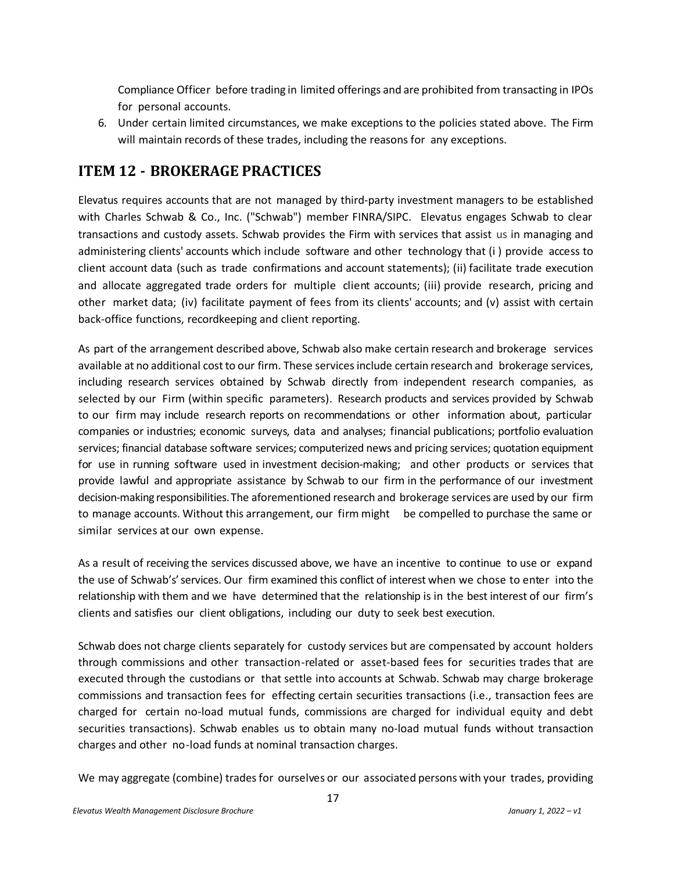Compliance Officer before trading in limited offerings and are prohibited from transacting in IPOs for personal accounts.

6. Under certain limited circumstances, we make exceptions to the policies stated above. The Firm will maintain records of these trades, including the reasons for any exceptions.

## <span id="page-16-0"></span>**ITEM 12 - BROKERAGE PRACTICES**

Elevatus requires accounts that are not managed by third-party investment managers to be established with Charles Schwab & Co., Inc. ("Schwab") member FINRA/SIPC. Elevatus engages Schwab to clear transactions and custody assets. Schwab provides the Firm with services that assist us in managing and administering clients' accounts which include software and other technology that (i ) provide access to client account data (such as trade confirmations and account statements); (ii) facilitate trade execution and allocate aggregated trade orders for multiple client accounts; (iii) provide research, pricing and other market data; (iv) facilitate payment of fees from its clients' accounts; and (v) assist with certain back-office functions, recordkeeping and client reporting.

As part of the arrangement described above, Schwab also make certain research and brokerage services available at no additional cost to our firm. These services include certain research and brokerage services, including research services obtained by Schwab directly from independent research companies, as selected by our Firm (within specific parameters). Research products and services provided by Schwab to our firm may include research reports on recommendations or other information about, particular companies or industries; economic surveys, data and analyses; financial publications; portfolio evaluation services; financial database software services; computerized news and pricing services; quotation equipment for use in running software used in investment decision-making; and other products or services that provide lawful and appropriate assistance by Schwab to our firm in the performance of our investment decision-making responsibilities.The aforementioned research and brokerage services are used by our firm to manage accounts. Without this arrangement, our firm might be compelled to purchase the same or similar services at our own expense.

As a result of receiving the services discussed above, we have an incentive to continue to use or expand the use of Schwab's' services. Our firm examined this conflict of interest when we chose to enter into the relationship with them and we have determined that the relationship is in the best interest of our firm's clients and satisfies our client obligations, including our duty to seek best execution.

Schwab does not charge clients separately for custody services but are compensated by account holders through commissions and other transaction-related or asset-based fees for securities trades that are executed through the custodians or that settle into accounts at Schwab. Schwab may charge brokerage commissions and transaction fees for effecting certain securities transactions (i.e., transaction fees are charged for certain no-load mutual funds, commissions are charged for individual equity and debt securities transactions). Schwab enables us to obtain many no-load mutual funds without transaction charges and other no-load funds at nominal transaction charges.

We may aggregate (combine) trades for ourselves or our associated persons with your trades, providing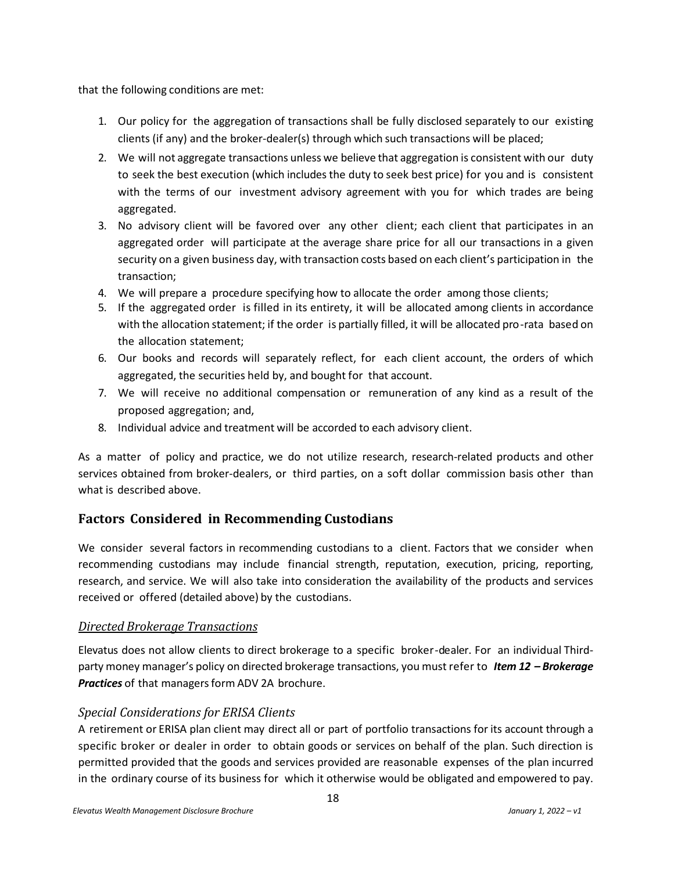that the following conditions are met:

- 1. Our policy for the aggregation of transactions shall be fully disclosed separately to our existing clients (if any) and the broker-dealer(s) through which such transactions will be placed;
- 2. We will not aggregate transactions unless we believe that aggregation is consistent with our duty to seek the best execution (which includes the duty to seek best price) for you and is consistent with the terms of our investment advisory agreement with you for which trades are being aggregated.
- 3. No advisory client will be favored over any other client; each client that participates in an aggregated order will participate at the average share price for all our transactions in a given security on a given business day, with transaction costs based on each client's participation in the transaction;
- 4. We will prepare a procedure specifying how to allocate the order among those clients;
- 5. If the aggregated order is filled in its entirety, it will be allocated among clients in accordance with the allocation statement; if the order is partially filled, it will be allocated pro-rata based on the allocation statement;
- 6. Our books and records will separately reflect, for each client account, the orders of which aggregated, the securities held by, and bought for that account.
- 7. We will receive no additional compensation or remuneration of any kind as a result of the proposed aggregation; and,
- 8. Individual advice and treatment will be accorded to each advisory client.

As a matter of policy and practice, we do not utilize research, research-related products and other services obtained from broker-dealers, or third parties, on a soft dollar commission basis other than what is described above.

## **Factors Considered in Recommending Custodians**

We consider several factors in recommending custodians to a client. Factors that we consider when recommending custodians may include financial strength, reputation, execution, pricing, reporting, research, and service. We will also take into consideration the availability of the products and services received or offered (detailed above) by the custodians.

#### *Directed Brokerage Transactions*

Elevatus does not allow clients to direct brokerage to a specific broker-dealer. For an individual Thirdparty money manager's policy on directed brokerage transactions, you must refer to *Item 12 – Brokerage* Practices of that managers form ADV 2A brochure.

#### *Special Considerations for ERISA Clients*

A retirement or ERISA plan client may direct all or part of portfolio transactions for its account through a specific broker or dealer in order to obtain goods or services on behalf of the plan. Such direction is permitted provided that the goods and services provided are reasonable expenses of the plan incurred in the ordinary course of its business for which it otherwise would be obligated and empowered to pay.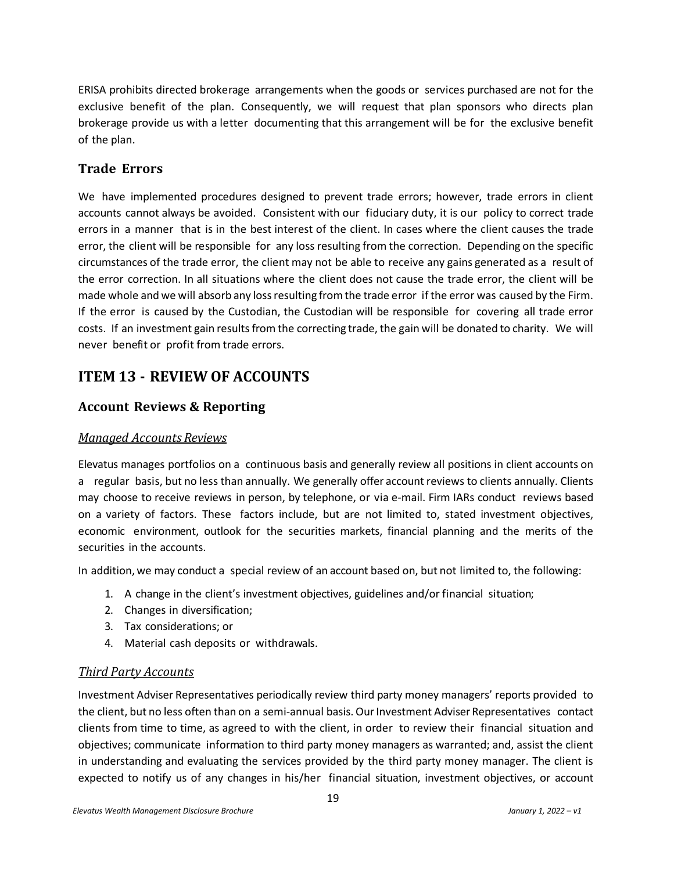ERISA prohibits directed brokerage arrangements when the goods or services purchased are not for the exclusive benefit of the plan. Consequently, we will request that plan sponsors who directs plan brokerage provide us with a letter documenting that this arrangement will be for the exclusive benefit of the plan.

#### **Trade Errors**

We have implemented procedures designed to prevent trade errors; however, trade errors in client accounts cannot always be avoided. Consistent with our fiduciary duty, it is our policy to correct trade errors in a manner that is in the best interest of the client. In cases where the client causes the trade error, the client will be responsible for any loss resulting from the correction. Depending on the specific circumstances of the trade error, the client may not be able to receive any gains generated as a result of the error correction. In all situations where the client does not cause the trade error, the client will be made whole and we will absorb any loss resulting from the trade error if the error was caused by the Firm. If the error is caused by the Custodian, the Custodian will be responsible for covering all trade error costs. If an investment gain resultsfrom the correcting trade, the gain will be donated to charity. We will never benefit or profit from trade errors.

## <span id="page-18-0"></span>**ITEM 13 - REVIEW OF ACCOUNTS**

#### **Account Reviews & Reporting**

#### *Managed Accounts Reviews*

Elevatus manages portfolios on a continuous basis and generally review all positions in client accounts on a regular basis, but no less than annually. We generally offer account reviews to clients annually. Clients may choose to receive reviews in person, by telephone, or via e-mail. Firm IARs conduct reviews based on a variety of factors. These factors include, but are not limited to, stated investment objectives, economic environment, outlook for the securities markets, financial planning and the merits of the securities in the accounts.

In addition,we may conduct a special review of an account based on, but not limited to, the following:

- 1. A change in the client's investment objectives, guidelines and/or financial situation;
- 2. Changes in diversification;
- 3. Tax considerations; or
- 4. Material cash deposits or withdrawals.

#### *Third Party Accounts*

Investment Adviser Representatives periodically review third party money managers' reports provided to the client, but no less often than on a semi-annual basis. OurInvestment Adviser Representatives contact clients from time to time, as agreed to with the client, in order to review their financial situation and objectives; communicate information to third party money managers as warranted; and, assist the client in understanding and evaluating the services provided by the third party money manager. The client is expected to notify us of any changes in his/her financial situation, investment objectives, or account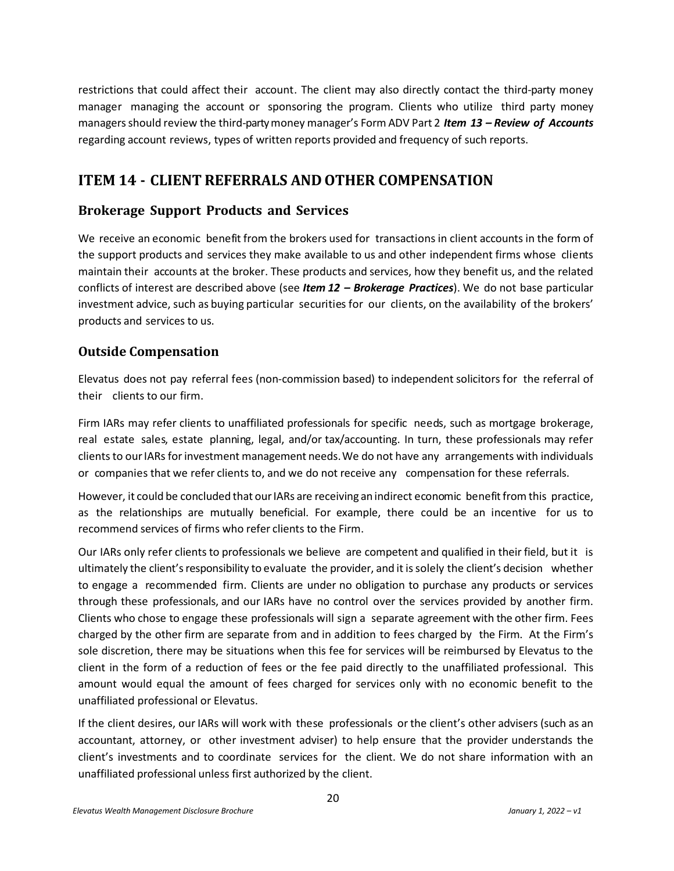restrictions that could affect their account. The client may also directly contact the third-party money manager managing the account or sponsoring the program. Clients who utilize third party money managersshould review the third-partymoney manager's Form ADV Part 2 *Item 13 – Review of Accounts* regarding account reviews, types of written reports provided and frequency of such reports.

## <span id="page-19-0"></span>**ITEM 14 - CLIENT REFERRALS AND OTHER COMPENSATION**

#### **Brokerage Support Products and Services**

We receive an economic benefit from the brokers used for transactions in client accounts in the form of the support products and services they make available to us and other independent firms whose clients maintain their accounts at the broker. These products and services, how they benefit us, and the related conflicts of interest are described above (see *Item 12 – Brokerage Practices*). We do not base particular investment advice, such as buying particular securities for our clients, on the availability of the brokers' products and services to us.

#### **Outside Compensation**

Elevatus does not pay referral fees (non-commission based) to independent solicitors for the referral of their clients to our firm.

Firm IARs may refer clients to unaffiliated professionals for specific needs, such as mortgage brokerage, real estate sales, estate planning, legal, and/or tax/accounting. In turn, these professionals may refer clients to our IARs for investment management needs. We do not have any arrangements with individuals or companies that we refer clients to, and we do not receive any compensation for these referrals.

However, it could be concluded that our IARs are receiving an indirect economic benefit from this practice, as the relationships are mutually beneficial. For example, there could be an incentive for us to recommend services of firms who refer clients to the Firm.

Our IARs only refer clients to professionals we believe are competent and qualified in their field, but it is ultimately the client'sresponsibility to evaluate the provider, and it issolely the client's decision whether to engage a recommended firm. Clients are under no obligation to purchase any products or services through these professionals, and our IARs have no control over the services provided by another firm. Clients who chose to engage these professionals will sign a separate agreement with the other firm. Fees charged by the other firm are separate from and in addition to fees charged by the Firm. At the Firm's sole discretion, there may be situations when this fee for services will be reimbursed by Elevatus to the client in the form of a reduction of fees or the fee paid directly to the unaffiliated professional. This amount would equal the amount of fees charged for services only with no economic benefit to the unaffiliated professional or Elevatus.

If the client desires, our IARs will work with these professionals orthe client's other advisers (such as an accountant, attorney, or other investment adviser) to help ensure that the provider understands the client's investments and to coordinate services for the client. We do not share information with an unaffiliated professional unless first authorized by the client.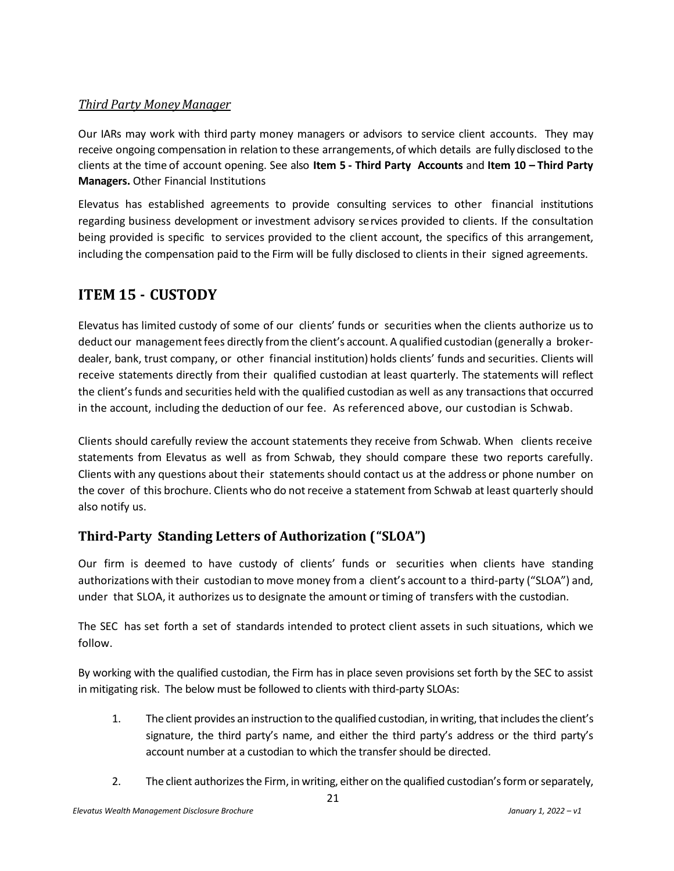#### *Third Party MoneyManager*

Our IARs may work with third party money managers or advisors to service client accounts. They may receive ongoing compensation in relation to these arrangements, of which details are fully disclosed to the clients at the time of account opening. See also **Item 5 - Third Party Accounts** and **Item 10 – Third Party Managers.** Other Financial Institutions

Elevatus has established agreements to provide consulting services to other financial institutions regarding business development or investment advisory services provided to clients. If the consultation being provided is specific to services provided to the client account, the specifics of this arrangement, including the compensation paid to the Firm will be fully disclosed to clients in their signed agreements.

## <span id="page-20-0"></span>**ITEM 15 - CUSTODY**

Elevatus has limited custody of some of our clients' funds or securities when the clients authorize us to deduct our managementfees directly fromthe client's account. A qualified custodian (generally a brokerdealer, bank, trust company, or other financial institution) holds clients' funds and securities. Clients will receive statements directly from their qualified custodian at least quarterly. The statements will reflect the client's funds and securities held with the qualified custodian as well as any transactionsthat occurred in the account, including the deduction of our fee. As referenced above, our custodian is Schwab.

Clients should carefully review the account statements they receive from Schwab. When clients receive statements from Elevatus as well as from Schwab, they should compare these two reports carefully. Clients with any questions about their statements should contact us at the address or phone number on the cover of this brochure. Clients who do not receive a statement from Schwab at least quarterly should also notify us.

## **Third-Party Standing Letters of Authorization ("SLOA")**

Our firm is deemed to have custody of clients' funds or securities when clients have standing authorizations with their custodian to move money from a client's account to a third-party ("SLOA") and, under that SLOA, it authorizes us to designate the amount ortiming of transfers with the custodian.

The SEC has set forth a set of standards intended to protect client assets in such situations, which we follow.

By working with the qualified custodian, the Firm has in place seven provisions set forth by the SEC to assist in mitigating risk. The below must be followed to clients with third-party SLOAs:

- 1. The client provides an instruction to the qualified custodian, in writing, that includes the client's signature, the third party's name, and either the third party's address or the third party's account number at a custodian to which the transfer should be directed.
- 2. The client authorizes the Firm, in writing, either on the qualified custodian's form or separately,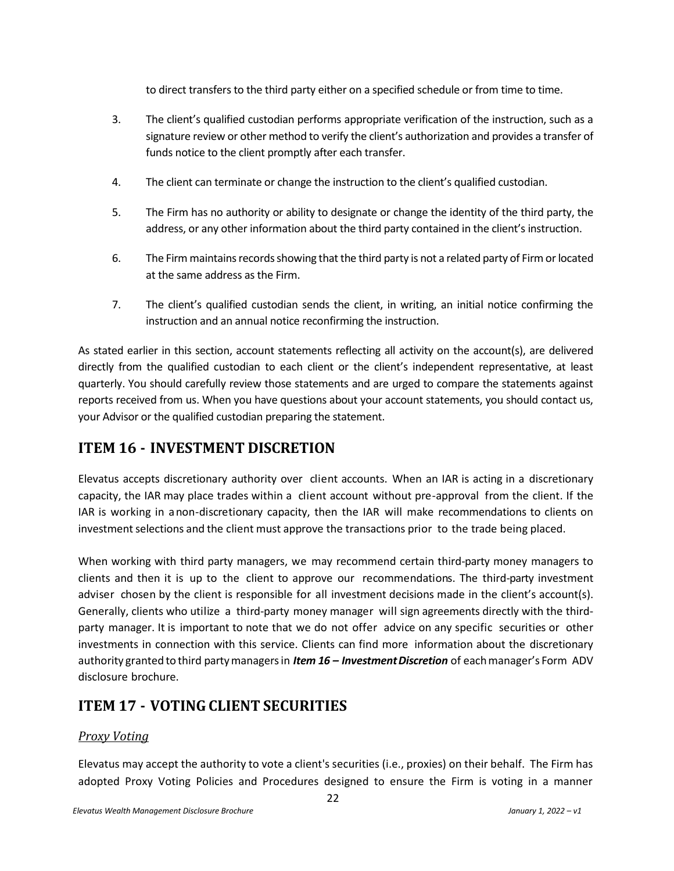to direct transfers to the third party either on a specified schedule or from time to time.

- 3. The client's qualified custodian performs appropriate verification of the instruction, such as a signature review or other method to verify the client's authorization and provides a transfer of funds notice to the client promptly after each transfer.
- 4. The client can terminate or change the instruction to the client's qualified custodian.
- 5. The Firm has no authority or ability to designate or change the identity of the third party, the address, or any other information about the third party contained in the client's instruction.
- 6. The Firm maintains records showing that the third party is not a related party of Firm or located at the same address as the Firm.
- 7. The client's qualified custodian sends the client, in writing, an initial notice confirming the instruction and an annual notice reconfirming the instruction.

As stated earlier in this section, account statements reflecting all activity on the account(s), are delivered directly from the qualified custodian to each client or the client's independent representative, at least quarterly. You should carefully review those statements and are urged to compare the statements against reports received from us. When you have questions about your account statements, you should contact us, your Advisor or the qualified custodian preparing the statement.

## <span id="page-21-0"></span>**ITEM 16 - INVESTMENT DISCRETION**

Elevatus accepts discretionary authority over client accounts. When an IAR is acting in a discretionary capacity, the IAR may place trades within a client account without pre-approval from the client. If the IAR is working in anon-discretionary capacity, then the IAR will make recommendations to clients on investment selections and the client must approve the transactions prior to the trade being placed.

When working with third party managers, we may recommend certain third-party money managers to clients and then it is up to the client to approve our recommendations. The third-party investment adviser chosen by the client is responsible for all investment decisions made in the client's account(s). Generally, clients who utilize a third-party money manager will sign agreements directly with the thirdparty manager. It is important to note that we do not offer advice on any specific securities or other investments in connection with this service. Clients can find more information about the discretionary authority granted to third partymanagersin *Item 16 – InvestmentDiscretion* of eachmanager's Form ADV disclosure brochure.

## <span id="page-21-1"></span>**ITEM 17 - VOTING CLIENT SECURITIES**

#### *Proxy Voting*

Elevatus may accept the authority to vote a client's securities (i.e., proxies) on their behalf. The Firm has adopted Proxy Voting Policies and Procedures designed to ensure the Firm is voting in a manner